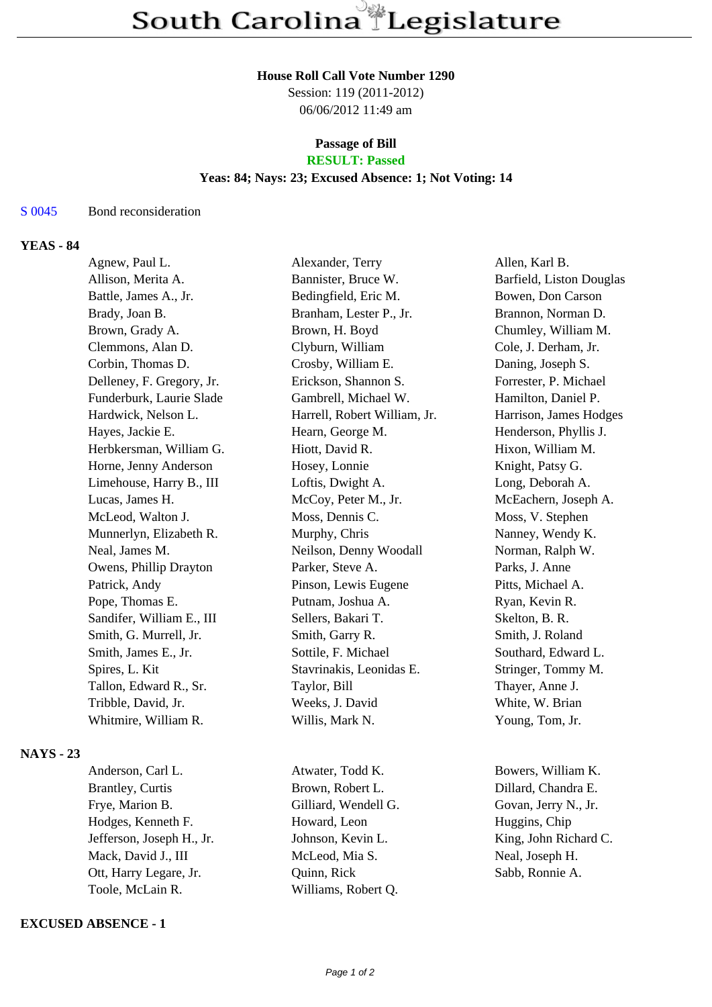#### **House Roll Call Vote Number 1290**

Session: 119 (2011-2012) 06/06/2012 11:49 am

### **Passage of Bill RESULT: Passed**

# **Yeas: 84; Nays: 23; Excused Absence: 1; Not Voting: 14**

#### S 0045 Bond reconsideration

# **YEAS - 84**

| Agnew, Paul L.            | Alexander, Terry             | Allen, Karl B.           |
|---------------------------|------------------------------|--------------------------|
| Allison, Merita A.        | Bannister, Bruce W.          | Barfield, Liston Douglas |
| Battle, James A., Jr.     | Bedingfield, Eric M.         | Bowen, Don Carson        |
| Brady, Joan B.            | Branham, Lester P., Jr.      | Brannon, Norman D.       |
| Brown, Grady A.           | Brown, H. Boyd               | Chumley, William M.      |
| Clemmons, Alan D.         | Clyburn, William             | Cole, J. Derham, Jr.     |
| Corbin, Thomas D.         | Crosby, William E.           | Daning, Joseph S.        |
| Delleney, F. Gregory, Jr. | Erickson, Shannon S.         | Forrester, P. Michael    |
| Funderburk, Laurie Slade  | Gambrell, Michael W.         | Hamilton, Daniel P.      |
| Hardwick, Nelson L.       | Harrell, Robert William, Jr. | Harrison, James Hodges   |
| Hayes, Jackie E.          | Hearn, George M.             | Henderson, Phyllis J.    |
| Herbkersman, William G.   | Hiott, David R.              | Hixon, William M.        |
| Horne, Jenny Anderson     | Hosey, Lonnie                | Knight, Patsy G.         |
| Limehouse, Harry B., III  | Loftis, Dwight A.            | Long, Deborah A.         |
| Lucas, James H.           | McCoy, Peter M., Jr.         | McEachern, Joseph A.     |
| McLeod, Walton J.         | Moss, Dennis C.              | Moss, V. Stephen         |
| Munnerlyn, Elizabeth R.   | Murphy, Chris                | Nanney, Wendy K.         |
| Neal, James M.            | Neilson, Denny Woodall       | Norman, Ralph W.         |
| Owens, Phillip Drayton    | Parker, Steve A.             | Parks, J. Anne           |
| Patrick, Andy             | Pinson, Lewis Eugene         | Pitts, Michael A.        |
| Pope, Thomas E.           | Putnam, Joshua A.            | Ryan, Kevin R.           |
| Sandifer, William E., III | Sellers, Bakari T.           | Skelton, B. R.           |
| Smith, G. Murrell, Jr.    | Smith, Garry R.              | Smith, J. Roland         |
| Smith, James E., Jr.      | Sottile, F. Michael          | Southard, Edward L.      |
| Spires, L. Kit            | Stavrinakis, Leonidas E.     | Stringer, Tommy M.       |
| Tallon, Edward R., Sr.    | Taylor, Bill                 | Thayer, Anne J.          |
| Tribble, David, Jr.       | Weeks, J. David              | White, W. Brian          |
| Whitmire, William R.      | Willis, Mark N.              | Young, Tom, Jr.          |
|                           |                              |                          |

**NAYS - 23**

Brantley, Curtis Brown, Robert L. Dillard, Chandra E. Frye, Marion B. Gilliard, Wendell G. Govan, Jerry N., Jr. Hodges, Kenneth F. **Howard**, Leon Huggins, Chip Jefferson, Joseph H., Jr. Johnson, Kevin L. King, John Richard C. Mack, David J., III McLeod, Mia S. Neal, Joseph H. Ott, Harry Legare, Jr. Quinn, Rick Sabb, Ronnie A. Toole, McLain R. Williams, Robert Q.

## **EXCUSED ABSENCE - 1**

Anderson, Carl L. **Atwater, Todd K.** Bowers, William K.